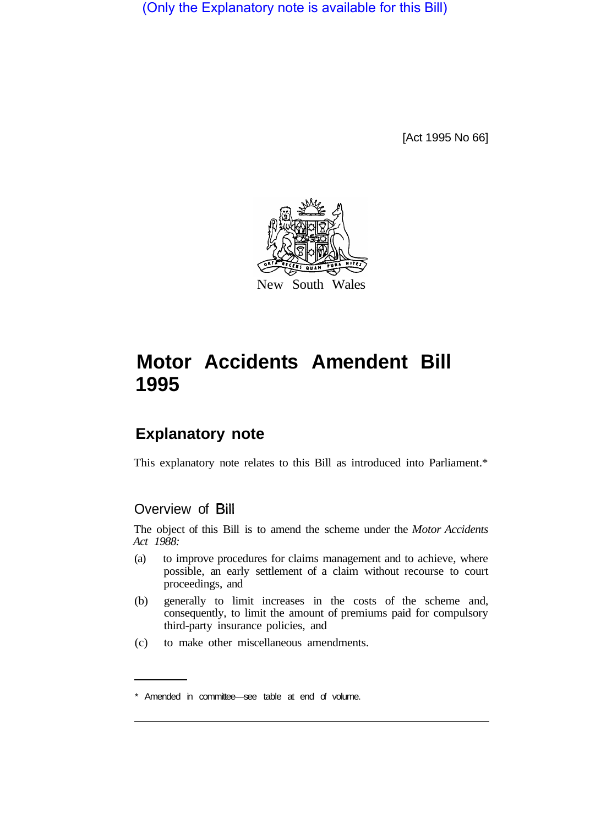(Only the Explanatory note is available for this Bill)

[Act 1995 No 66]



# **Motor Accidents Amendent Bill 1995**

# **Explanatory note**

This explanatory note relates to this Bill as introduced into Parliament.\*

# Overview of Bill

The object of this Bill is to amend the scheme under the *Motor Accidents Act 1988:* 

- (a) to improve procedures for claims management and to achieve, where possible, an early settlement of a claim without recourse to court proceedings, and
- (b) generally to limit increases in the costs of the scheme and, consequently, to limit the amount of premiums paid for compulsory third-party insurance policies, and
- (c) to make other miscellaneous amendments.

<sup>\*</sup> Amended in committee—see table at end of volume.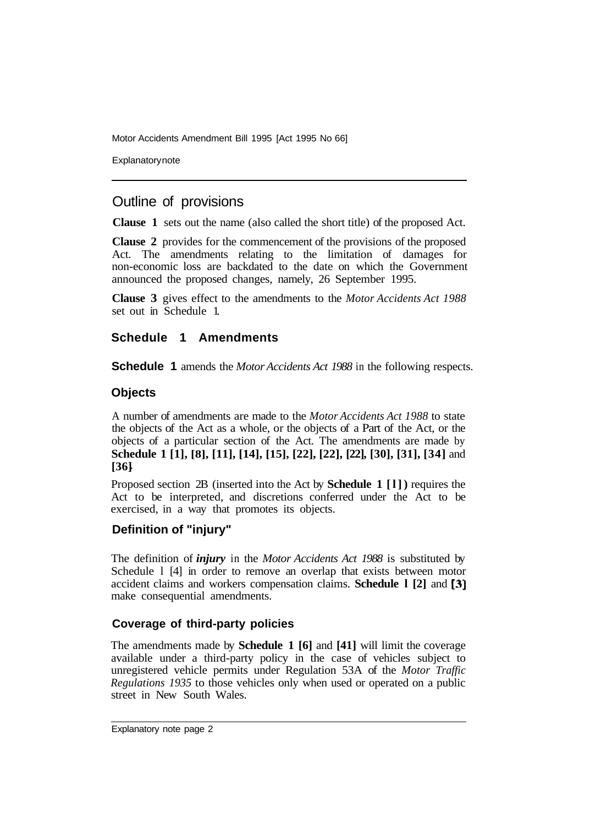**Explanatory note** 

# Outline of provisions

**Clause 1** sets out the name (also called the short title) of the proposed Act.

**Clause 2** provides for the commencement of the provisions of the proposed Act. The amendments relating to the limitation of damages for non-economic loss are backdated to the date on which the Government announced the proposed changes, namely, 26 September 1995.

**Clause 3** gives effect to the amendments to the *Motor Accidents Act 1988*  set out in Schedule 1.

# **Schedule 1 Amendments**

**Schedule 1** amends the *Motor Accidents Act 1988* in the following respects.

#### **Objects**

A number of amendments are made to the *Motor Accidents Act 1988* to state the objects of the Act as a whole, or the objects of a Part of the Act, or the objects of a particular section of the Act. The amendments are made by **Schedule 1 [1], [8], [11], [14], [15], [22], [22], [22], [30], [31], [34]** and **[36]** 

Proposed section 2B (inserted into the Act by **Schedule 1 [l])** requires the Act to be interpreted, and discretions conferred under the Act to be exercised, in a way that promotes its objects.

## **Definition of "injury"**

The definition of *injury* in the *Motor Accidents Act 1988* is substituted by Schedule 1 [4] in order to remove an overlap that exists between motor accident claims and workers compensation claims. **Schedule l [2]** and **[3]**  make consequential amendments.

## **Coverage of third-party policies**

The amendments made by **Schedule 1 [6]** and **[41]** will limit the coverage available under a third-party policy in the case of vehicles subject to unregistered vehicle permits under Regulation 53A of the *Motor Traffic Regulations 1935* to those vehicles only when used or operated on a public street in New South Wales.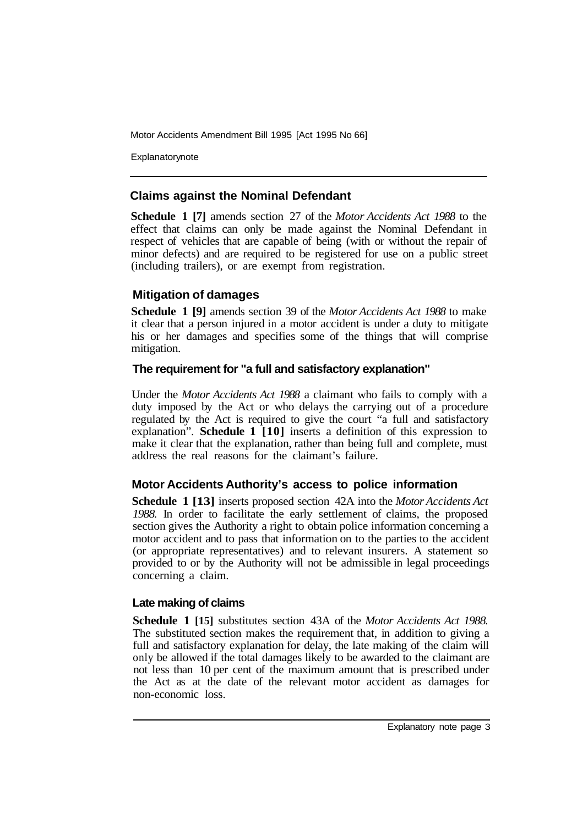Explanatorynote

## **Claims against the Nominal Defendant**

**Schedule 1 [7]** amends section 27 of the *Motor Accidents Act 1988* to the effect that claims can only be made against the Nominal Defendant in respect of vehicles that are capable of being (with or without the repair of minor defects) and are required to be registered for use on a public street (including trailers), or are exempt from registration.

## **Mitigation of damages**

**Schedule 1 [9]** amends section 39 of the *Motor Accidents Act 1988* to make it clear that a person injured in a motor accident is under a duty to mitigate his or her damages and specifies some of the things that will comprise mitigation.

## **The requirement for "a full and satisfactory explanation"**

Under the *Motor Accidents Act 1988* a claimant who fails to comply with a duty imposed by the Act or who delays the carrying out of a procedure regulated by the Act is required to give the court "a full and satisfactory explanation". **Schedule 1 [10]** inserts a definition of this expression to make it clear that the explanation, rather than being full and complete, must address the real reasons for the claimant's failure.

## **Motor Accidents Authority's access to police information**

**Schedule 1 [13]** inserts proposed section 42A into the *Motor Accidents Act 1988.* In order to facilitate the early settlement of claims, the proposed section gives the Authority a right to obtain police information concerning a motor accident and to pass that information on to the parties to the accident (or appropriate representatives) and to relevant insurers. A statement so provided to or by the Authority will not be admissible in legal proceedings concerning a claim.

## **Late making of claims**

**Schedule 1 [15]** substitutes section 43A of the *Motor Accidents Act 1988.*  The substituted section makes the requirement that, in addition to giving a full and satisfactory explanation for delay, the late making of the claim will only be allowed if the total damages likely to be awarded to the claimant are not less than 10 per cent of the maximum amount that is prescribed under the Act as at the date of the relevant motor accident as damages for non-economic loss.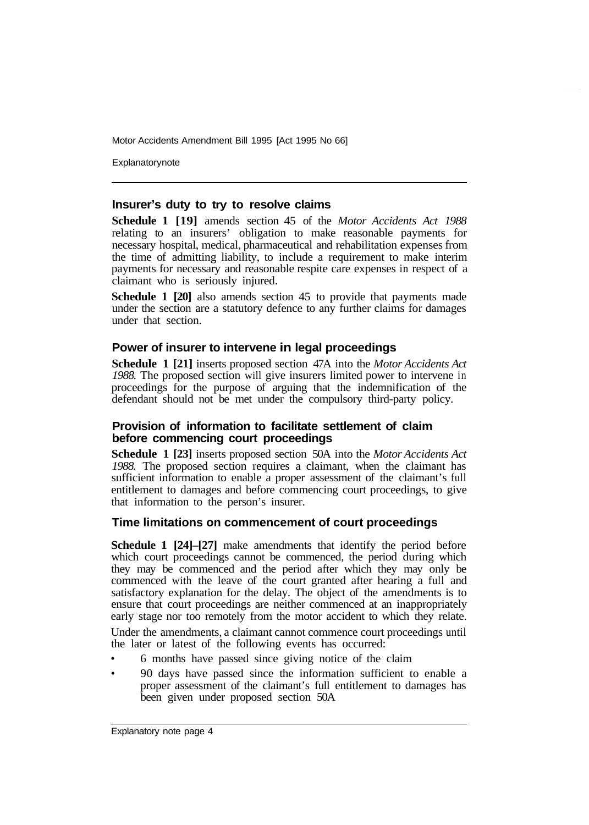**Explanatory note** 

#### **Insurer's duty to try to resolve claims**

**Schedule 1 [19]** amends section 45 of the *Motor Accidents Act 1988*  relating to an insurers' obligation to make reasonable payments for necessary hospital, medical, pharmaceutical and rehabilitation expenses from the time of admitting liability, to include a requirement to make interim payments for necessary and reasonable respite care expenses in respect of a claimant who is seriously injured.

**Schedule 1 [20]** also amends section 45 to provide that payments made under the section are a statutory defence to any further claims for damages under that section.

#### **Power of insurer to intervene in legal proceedings**

**Schedule 1 [21]** inserts proposed section 47A into the *Motor Accidents Act 1988.* The proposed section will give insurers limited power to intervene in proceedings for the purpose of arguing that the indemnification of the defendant should not be met under the compulsory third-party policy.

#### **Provision of information to facilitate settlement of claim before commencing court proceedings**

**Schedule 1 [23]** inserts proposed section 50A into the *Motor Accidents Act 1988.* The proposed section requires a claimant, when the claimant has sufficient information to enable a proper assessment of the claimant's full entitlement to damages and before commencing court proceedings, to give that information to the person's insurer.

#### **Time limitations on commencement of court proceedings**

**Schedule 1 [24]–[27]** make amendments that identify the period before which court proceedings cannot be commenced, the period during which they may be commenced and the period after which they may only be commenced with the leave of the court granted after hearing a full and satisfactory explanation for the delay. The object of the amendments is to ensure that court proceedings are neither commenced at an inappropriately early stage nor too remotely from the motor accident to which they relate.

Under the amendments, a claimant cannot commence court proceedings until the later or latest of the following events has occurred:

- 6 months have passed since giving notice of the claim
- 90 days have passed since the information sufficient to enable a proper assessment of the claimant's full entitlement to damages has been given under proposed section 50A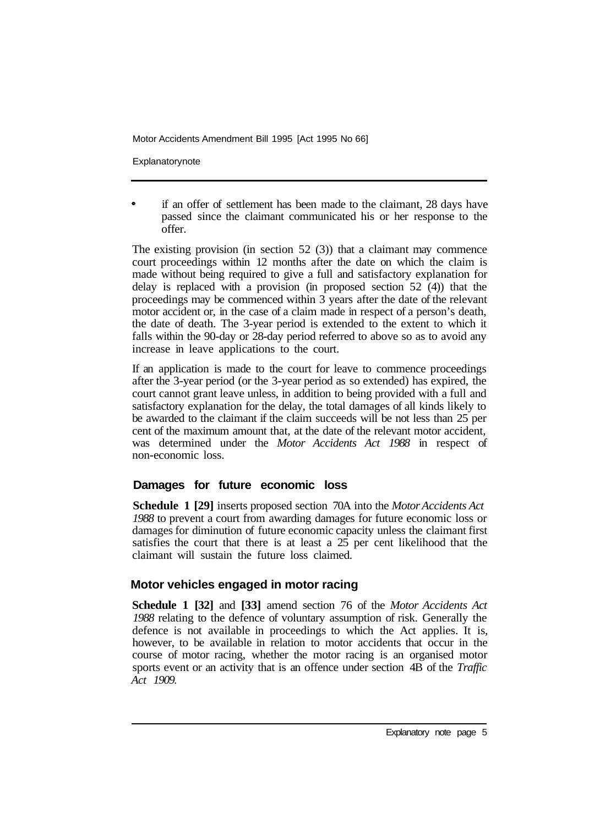Explanatorynote

if an offer of settlement has been made to the claimant, 28 days have passed since the claimant communicated his or her response to the offer.

The existing provision (in section  $52 \text{ } (3)$ ) that a claimant may commence court proceedings within 12 months after the date on which the claim is made without being required to give a full and satisfactory explanation for delay is replaced with a provision (in proposed section 52 (4)) that the proceedings may be commenced within 3 years after the date of the relevant motor accident or, in the case of a claim made in respect of a person's death, the date of death. The 3-year period is extended to the extent to which it falls within the 90-day or 28-day period referred to above so as to avoid any increase in leave applications to the court.

If an application is made to the court for leave to commence proceedings after the 3-year period (or the 3-year period as so extended) has expired, the court cannot grant leave unless, in addition to being provided with a full and satisfactory explanation for the delay, the total damages of all kinds likely to be awarded to the claimant if the claim succeeds will be not less than 25 per cent of the maximum amount that, at the date of the relevant motor accident, was determined under the *Motor Accidents Act 1988* in respect of non-economic loss.

# **Damages for future economic loss**

**Schedule 1 [29]** inserts proposed section 70A into the *Motor Accidents Act 1988* to prevent a court from awarding damages for future economic loss or damages for diminution of future economic capacity unless the claimant first satisfies the court that there is at least a 25 per cent likelihood that the claimant will sustain the future loss claimed.

# **Motor vehicles engaged in motor racing**

**Schedule 1 [32]** and **[33]** amend section 76 of the *Motor Accidents Act 1988* relating to the defence of voluntary assumption of risk. Generally the defence is not available in proceedings to which the Act applies. It is, however, to be available in relation to motor accidents that occur in the course of motor racing, whether the motor racing is an organised motor sports event or an activity that is an offence under section 4B of the *Traffic Act 1909.*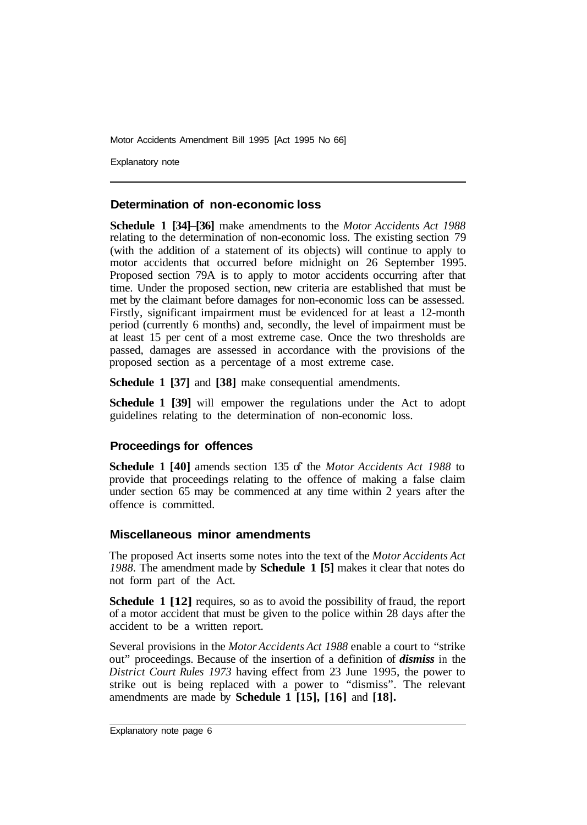Explanatory note

#### **Determination of non-economic loss**

**Schedule 1 [34]–[36]** make amendments to the *Motor Accidents Act 1988*  relating to the determination of non-economic loss. The existing section 79 (with the addition of a statement of its objects) will continue to apply to motor accidents that occurred before midnight on 26 September 1995. Proposed section 79A is to apply to motor accidents occurring after that time. Under the proposed section, new criteria are established that must be met by the claimant before damages for non-economic loss can be assessed. Firstly, significant impairment must be evidenced for at least a 12-month period (currently 6 months) and, secondly, the level of impairment must be at least 15 per cent of a most extreme case. Once the two thresholds are passed, damages are assessed in accordance with the provisions of the proposed section as a percentage of a most extreme case.

**Schedule 1 [37]** and **[38]** make consequential amendments.

**Schedule 1 [39]** will empower the regulations under the Act to adopt guidelines relating to the determination of non-economic loss.

#### **Proceedings for offences**

Schedule 1 [40] amends section 135 of the *Motor Accidents Act 1988* to provide that proceedings relating to the offence of making a false claim under section 65 may be commenced at any time within 2 years after the offence is committed.

#### **Miscellaneous minor amendments**

The proposed Act inserts some notes into the text of the *Motor Accidents Act 1988.* The amendment made by **Schedule 1 [5]** makes it clear that notes do not form part of the Act.

**Schedule 1 [12]** requires, so as to avoid the possibility of fraud, the report of a motor accident that must be given to the police within 28 days after the accident to be a written report.

Several provisions in the *Motor Accidents Act 1988* enable a court to "strike out" proceedings. Because of the insertion of a definition of *dismiss* in the *District Court Rules 1973* having effect from 23 June 1995, the power to strike out is being replaced with a power to "dismiss". The relevant amendments are made by **Schedule 1 [15], [16]** and **[18].**